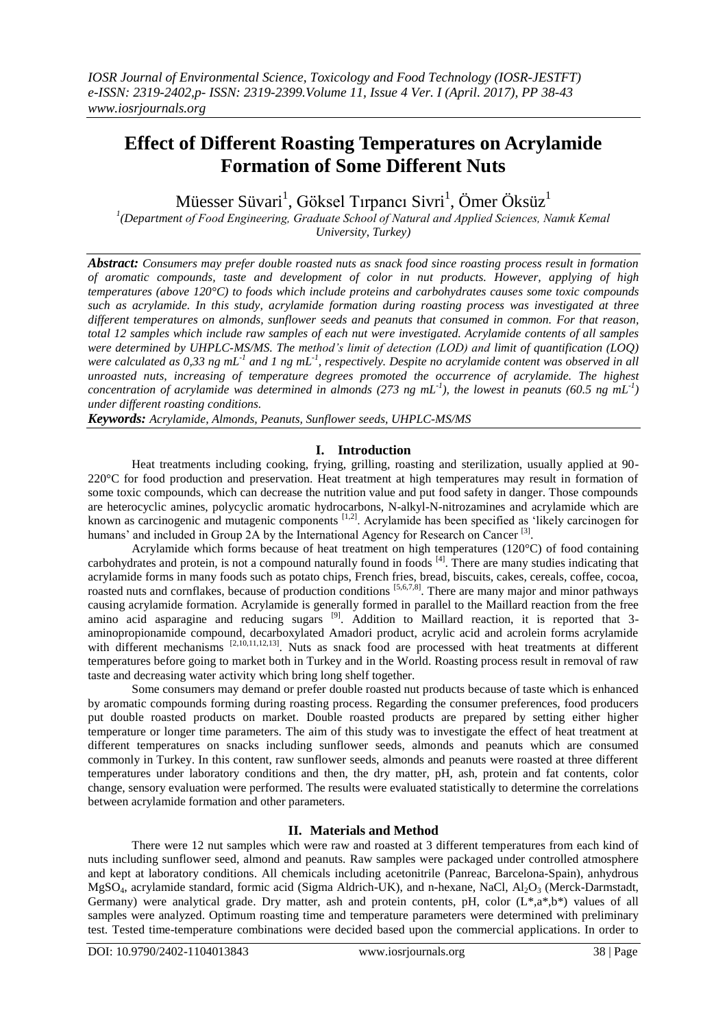# **Effect of Different Roasting Temperatures on Acrylamide Formation of Some Different Nuts**

Müesser Süvari $^1$ , Göksel Tırpancı Sivri $^1$ , Ömer Öksüz $^1$ 

<sup>1</sup>(Department of Food Engineering, Graduate School of Natural and Applied Sciences, Namık Kemal *University, Turkey)*

*Abstract: Consumers may prefer double roasted nuts as snack food since roasting process result in formation of aromatic compounds, taste and development of color in nut products. However, applying of high temperatures (above 120°C) to foods which include proteins and carbohydrates causes some toxic compounds such as acrylamide. In this study, acrylamide formation during roasting process was investigated at three different temperatures on almonds, sunflower seeds and peanuts that consumed in common. For that reason, total 12 samples which include raw samples of each nut were investigated. Acrylamide contents of all samples were determined by UHPLC-MS/MS. The method's limit of detection (LOD) and limit of quantification (LOQ)*  were calculated as 0,33 ng mL<sup>-1</sup> and 1 ng mL<sup>-1</sup>, respectively. Despite no acrylamide content was observed in all *unroasted nuts, increasing of temperature degrees promoted the occurrence of acrylamide. The highest concentration of acrylamide was determined in almonds (273 ng mL-1 ), the lowest in peanuts (60.5 ng mL-1 ) under different roasting conditions.*

*Keywords: Acrylamide, Almonds, Peanuts, Sunflower seeds, UHPLC-MS/MS*

# **I. Introduction**

Heat treatments including cooking, frying, grilling, roasting and sterilization, usually applied at 90- 220°C for food production and preservation. Heat treatment at high temperatures may result in formation of some toxic compounds, which can decrease the nutrition value and put food safety in danger. Those compounds are heterocyclic amines, polycyclic aromatic hydrocarbons, N-alkyl-N-nitrozamines and acrylamide which are known as carcinogenic and mutagenic components <sup>[1,2]</sup>. Acrylamide has been specified as 'likely carcinogen for humans' and included in Group 2A by the International Agency for Research on Cancer<sup>[3]</sup>.

Acrylamide which forms because of heat treatment on high temperatures (120°C) of food containing carbohydrates and protein, is not a compound naturally found in foods [4]. There are many studies indicating that acrylamide forms in many foods such as potato chips, French fries, bread, biscuits, cakes, cereals, coffee, cocoa, roasted nuts and cornflakes, because of production conditions [5,6,7,8]. There are many major and minor pathways causing acrylamide formation. Acrylamide is generally formed in parallel to the Maillard reaction from the free amino acid asparagine and reducing sugars <sup>[9]</sup>. Addition to Maillard reaction, it is reported that 3aminopropionamide compound, decarboxylated Amadori product, acrylic acid and acrolein forms acrylamide with different mechanisms [2,10,11,12,13]. Nuts as snack food are processed with heat treatments at different temperatures before going to market both in Turkey and in the World. Roasting process result in removal of raw taste and decreasing water activity which bring long shelf together.

Some consumers may demand or prefer double roasted nut products because of taste which is enhanced by aromatic compounds forming during roasting process. Regarding the consumer preferences, food producers put double roasted products on market. Double roasted products are prepared by setting either higher temperature or longer time parameters. The aim of this study was to investigate the effect of heat treatment at different temperatures on snacks including sunflower seeds, almonds and peanuts which are consumed commonly in Turkey. In this content, raw sunflower seeds, almonds and peanuts were roasted at three different temperatures under laboratory conditions and then, the dry matter, pH, ash, protein and fat contents, color change, sensory evaluation were performed. The results were evaluated statistically to determine the correlations between acrylamide formation and other parameters.

# **II. Materials and Method**

There were 12 nut samples which were raw and roasted at 3 different temperatures from each kind of nuts including sunflower seed, almond and peanuts. Raw samples were packaged under controlled atmosphere and kept at laboratory conditions. All chemicals including acetonitrile (Panreac, Barcelona-Spain), anhydrous  $MgSO_4$ , acrylamide standard, formic acid (Sigma Aldrich-UK), and n-hexane, NaCl,  $Al_2O_3$  (Merck-Darmstadt, Germany) were analytical grade. Dry matter, ash and protein contents, pH, color  $(L^*, a^*, b^*)$  values of all samples were analyzed. Optimum roasting time and temperature parameters were determined with preliminary test. Tested time-temperature combinations were decided based upon the commercial applications. In order to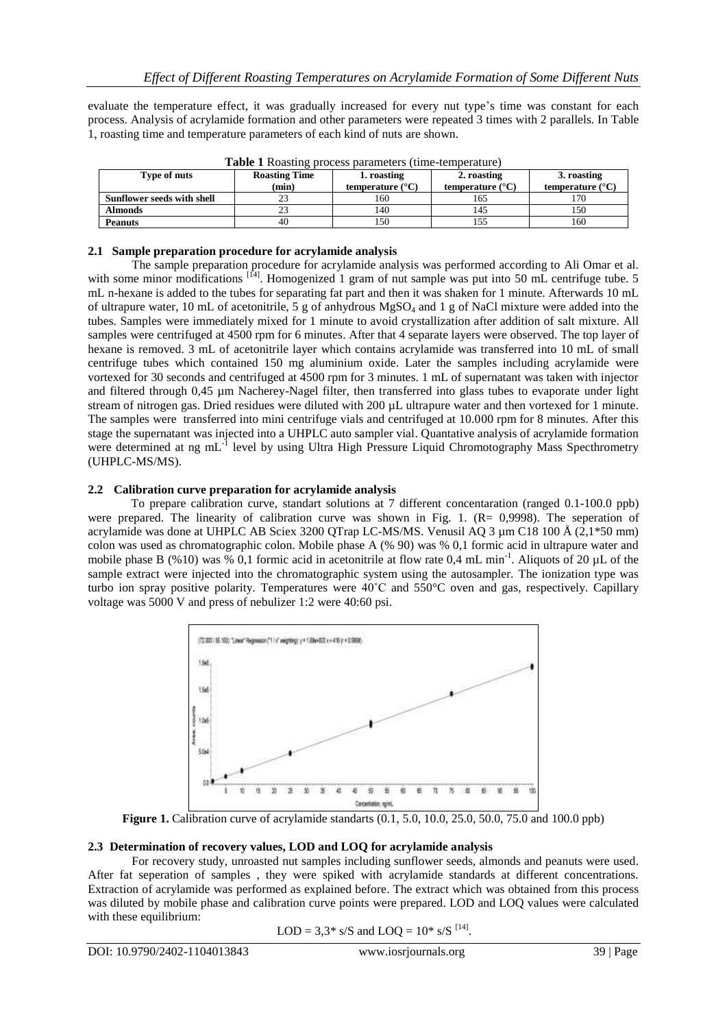evaluate the temperature effect, it was gradually increased for every nut type's time was constant for each process. Analysis of acrylamide formation and other parameters were repeated 3 times with 2 parallels. In Table 1, roasting time and temperature parameters of each kind of nuts are shown.

| <b>Table I</b> Roasting process parameters (time-temperature) |       |                           |                           |                           |  |  |  |  |  |
|---------------------------------------------------------------|-------|---------------------------|---------------------------|---------------------------|--|--|--|--|--|
| <b>Roasting Time</b><br>Type of nuts                          |       | 1. roasting               | 2. roasting               | 3. roasting               |  |  |  |  |  |
|                                                               | (min) | temperature $(^{\circ}C)$ | temperature $(^{\circ}C)$ | temperature $(^{\circ}C)$ |  |  |  |  |  |
| Sunflower seeds with shell                                    |       | 160                       | 165                       | l 70                      |  |  |  |  |  |
| <b>Almonds</b>                                                |       | 140                       | 145                       | 150                       |  |  |  |  |  |
| <b>Peanuts</b>                                                | 40    | 150                       | 155                       | 160                       |  |  |  |  |  |

**Table 1** Roasting process parameters (time-temperature)

## **2.1 Sample preparation procedure for acrylamide analysis**

The sample preparation procedure for acrylamide analysis was performed according to Ali Omar et al. with some minor modifications <sup>[14]</sup>. Homogenized 1 gram of nut sample was put into 50 mL centrifuge tube. 5 mL n-hexane is added to the tubes for separating fat part and then it was shaken for 1 minute. Afterwards 10 mL of ultrapure water, 10 mL of acetonitrile, 5 g of anhydrous MgSO<sup>4</sup> and 1 g of NaCl mixture were added into the tubes. Samples were immediately mixed for 1 minute to avoid crystallization after addition of salt mixture. All samples were centrifuged at 4500 rpm for 6 minutes. After that 4 separate layers were observed. The top layer of hexane is removed. 3 mL of acetonitrile layer which contains acrylamide was transferred into 10 mL of small centrifuge tubes which contained 150 mg aluminium oxide. Later the samples including acrylamide were vortexed for 30 seconds and centrifuged at 4500 rpm for 3 minutes. 1 mL of supernatant was taken with injector and filtered through 0,45 µm Nacherey-Nagel filter, then transferred into glass tubes to evaporate under light stream of nitrogen gas. Dried residues were diluted with 200 µL ultrapure water and then vortexed for 1 minute. The samples were transferred into mini centrifuge vials and centrifuged at 10.000 rpm for 8 minutes. After this stage the supernatant was injected into a UHPLC auto sampler vial. Quantative analysis of acrylamide formation were determined at ng mL<sup>-1</sup> level by using Ultra High Pressure Liquid Chromotography Mass Specthrometry (UHPLC-MS/MS).

# **2.2 Calibration curve preparation for acrylamide analysis**

To prepare calibration curve, standart solutions at 7 different concentaration (ranged 0.1-100.0 ppb) were prepared. The linearity of calibration curve was shown in Fig. 1.  $(R= 0.9998)$ . The seperation of acrylamide was done at UHPLC AB Sciex 3200 QTrap LC-MS/MS. Venusil AQ 3 µm C18 100 Å (2,1\*50 mm) colon was used as chromatographic colon. Mobile phase A (% 90) was % 0,1 formic acid in ultrapure water and mobile phase B (%10) was % 0,1 formic acid in acetonitrile at flow rate 0,4 mL min<sup>-1</sup>. Aliquots of 20  $\mu$ L of the sample extract were injected into the chromatographic system using the autosampler. The ionization type was turbo ion spray positive polarity. Temperatures were 40˚C and 550°C oven and gas, respectively. Capillary voltage was 5000 V and press of nebulizer 1:2 were 40:60 psi.



**Figure 1.** Calibration curve of acrylamide standarts (0.1, 5.0, 10.0, 25.0, 50.0, 75.0 and 100.0 ppb)

#### **2.3 Determination of recovery values, LOD and LOQ for acrylamide analysis**

For recovery study, unroasted nut samples including sunflower seeds, almonds and peanuts were used. After fat seperation of samples , they were spiked with acrylamide standards at different concentrations. Extraction of acrylamide was performed as explained before. The extract which was obtained from this process was diluted by mobile phase and calibration curve points were prepared. LOD and LOQ values were calculated with these equilibrium:

$$
LOD = 3.3^* s/S
$$
 and  $LOQ = 10^* s/S$  <sup>[14]</sup>.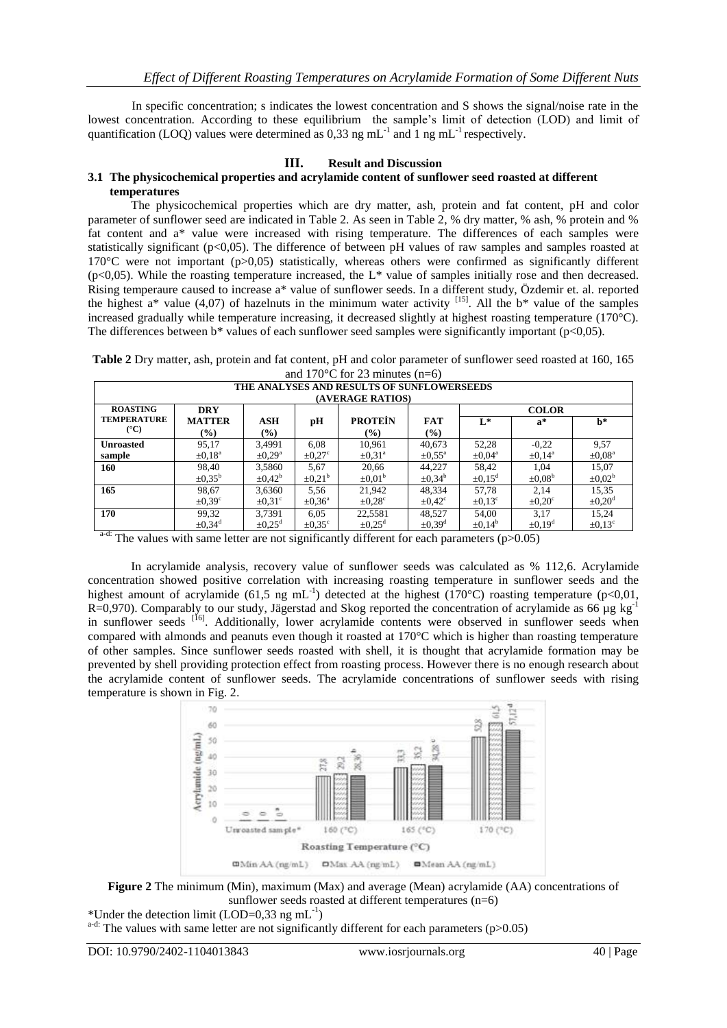In specific concentration; s indicates the lowest concentration and S shows the signal/noise rate in the lowest concentration. According to these equilibrium the sample's limit of detection (LOD) and limit of quantification (LOQ) values were determined as 0,33 ng mL<sup>-1</sup> and 1 ng mL<sup>-1</sup> respectively.

## **III. Result and Discussion**

#### **3.1 The physicochemical properties and acrylamide content of sunflower seed roasted at different temperatures**

The physicochemical properties which are dry matter, ash, protein and fat content, pH and color parameter of sunflower seed are indicated in Table 2. As seen in Table 2, % dry matter, % ash, % protein and % fat content and a\* value were increased with rising temperature. The differences of each samples were statistically significant (p<0,05). The difference of between pH values of raw samples and samples roasted at 170°C were not important (p>0,05) statistically, whereas others were confirmed as significantly different  $(p<0,05)$ . While the roasting temperature increased, the L\* value of samples initially rose and then decreased. Rising temperaure caused to increase a\* value of sunflower seeds. In a different study, Özdemir et. al. reported the highest  $a^*$  value (4,07) of hazelnuts in the minimum water activity <sup>[15]</sup>. All the  $b^*$  value of the samples increased gradually while temperature increasing, it decreased slightly at highest roasting temperature (170°C). The differences between  $b^*$  values of each sunflower seed samples were significantly important ( $p<0,05$ ).

**Table 2** Dry matter, ash, protein and fat content, pH and color parameter of sunflower seed roasted at 160, 165 and  $170^{\circ}$ C for 23 minutes (n=6)

| THE ANALYSES AND RESULTS OF SUNFLOWERSEEDS |                         |                         |                    |                              |                         |                         |                         |                         |  |
|--------------------------------------------|-------------------------|-------------------------|--------------------|------------------------------|-------------------------|-------------------------|-------------------------|-------------------------|--|
| (AVERAGE RATIOS)                           |                         |                         |                    |                              |                         |                         |                         |                         |  |
| <b>ROASTING</b>                            | <b>DRY</b>              |                         |                    |                              |                         | <b>COLOR</b>            |                         |                         |  |
| <b>TEMPERATURE</b>                         | <b>MATTER</b>           | <b>ASH</b>              | рH                 | <b>PROTEIN</b>               | <b>FAT</b>              | $L^*$                   | $a^*$                   | h*                      |  |
| $(^{\circ}C)$                              | $\frac{9}{6}$           | $\frac{9}{6}$           |                    | $\left( \frac{6}{2} \right)$ | $($ %)                  |                         |                         |                         |  |
| <b>Unroasted</b>                           | 95,17                   | 3,4991                  | 6.08               | 10,961                       | 40,673                  | 52,28                   | $-0,22$                 | 9.57                    |  |
| sample                                     | $\pm 0.18$ <sup>a</sup> | $\pm 0.29$ <sup>a</sup> | $\pm 0.27^{\circ}$ | $\pm 0.31^{\circ}$           | $\pm 0.55^{\text{a}}$   | $\pm 0.04$ <sup>a</sup> | $\pm 0.14$ <sup>a</sup> | $\pm 0.08$ <sup>a</sup> |  |
| 160                                        | 98,40                   | 3,5860                  | 5,67               | 20,66                        | 44,227                  | 58,42                   | 1,04                    | 15,07                   |  |
|                                            | $\pm 0.35^{\rm b}$      | $\pm 0.42^{\circ}$      | $\pm 0.21^{\rm b}$ | $\pm 0.01^{\circ}$           | $\pm 0.34^{\circ}$      | $\pm 0.15$ <sup>d</sup> | $\pm 0.08^{\rm b}$      | $\pm 0.02^{\rm b}$      |  |
| 165                                        | 98,67                   | 3,6360                  | 5,56               | 21.942                       | 48,334                  | 57,78                   | 2.14                    | 15,35                   |  |
|                                            | $\pm 0.39^{\circ}$      | $\pm 0.31^{\circ}$      | $\pm 0.36^{\circ}$ | $\pm 0.28$ <sup>c</sup>      | $\pm 0.42^{\circ}$      | $\pm 0.13^{\circ}$      | $\pm 0.20^{\circ}$      | $\pm 0.20$ <sup>d</sup> |  |
| 170                                        | 99,32                   | 3,7391                  | 6.05               | 22,5581                      | 48.527                  | 54,00                   | 3,17                    | 15.24                   |  |
|                                            | $\pm 0.34$ <sup>d</sup> | $\pm 0.25$ <sup>d</sup> | $\pm 0.35^{\circ}$ | $\pm 0.25$ <sup>d</sup>      | $\pm 0.39$ <sup>d</sup> | $\pm 0.14^b$            | $\pm 0.19$ <sup>d</sup> | $\pm 0.13^{\circ}$      |  |

<sup>a-d:</sup> The values with same letter are not significantly different for each parameters ( $p > 0.05$ )

In acrylamide analysis, recovery value of sunflower seeds was calculated as % 112,6. Acrylamide concentration showed positive correlation with increasing roasting temperature in sunflower seeds and the highest amount of acrylamide (61,5 ng mL<sup>-1</sup>) detected at the highest (170°C) roasting temperature (p<0,01,  $R=0.970$ ). Comparably to our study, Jägerstad and Skog reported the concentration of acrylamide as 66 µg kg<sup>-1</sup> in sunflower seeds <sup>[16]</sup>. Additionally, lower acrylamide contents were observed in sunflower seeds when compared with almonds and peanuts even though it roasted at 170°C which is higher than roasting temperature of other samples. Since sunflower seeds roasted with shell, it is thought that acrylamide formation may be prevented by shell providing protection effect from roasting process. However there is no enough research about the acrylamide content of sunflower seeds. The acrylamide concentrations of sunflower seeds with rising temperature is shown in Fig. 2.





\*Under the detection limit  $(LOD=0,33 \text{ ng } mL^{-1})$ 

 $a-d$ : The values with same letter are not significantly different for each parameters (p>0.05)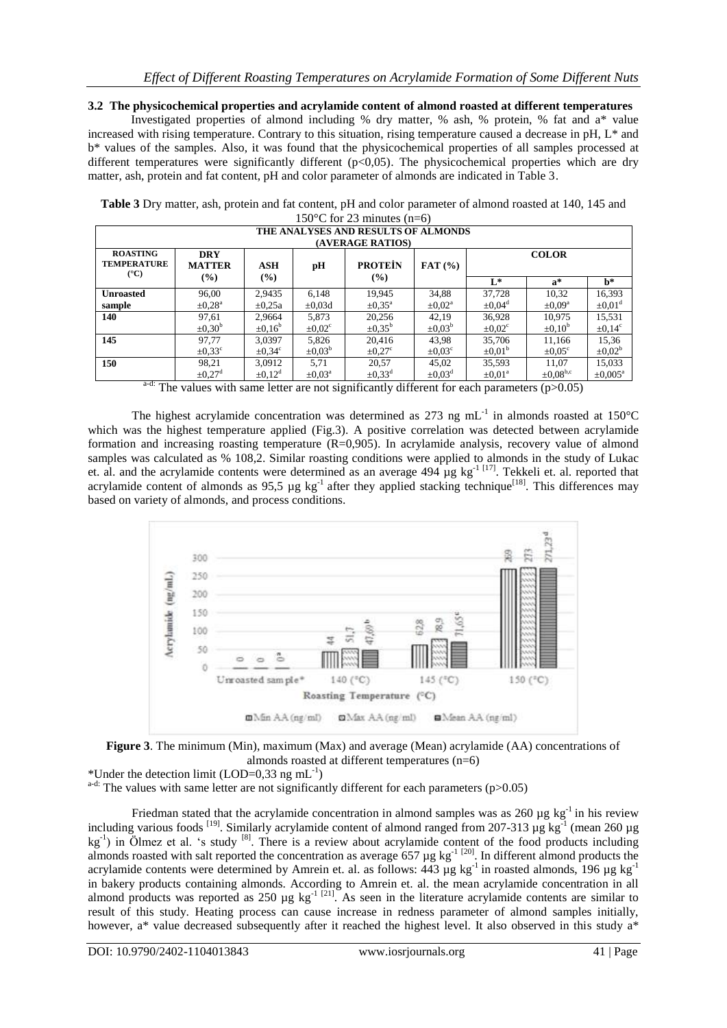**3.2 The physicochemical properties and acrylamide content of almond roasted at different temperatures**

Investigated properties of almond including % dry matter, % ash, % protein, % fat and a\* value increased with rising temperature. Contrary to this situation, rising temperature caused a decrease in pH, L\* and b\* values of the samples. Also, it was found that the physicochemical properties of all samples processed at different temperatures were significantly different (p<0,05). The physicochemical properties which are dry matter, ash, protein and fat content, pH and color parameter of almonds are indicated in Table 3.

| THE ANALYSES AND RESULTS OF ALMONDS<br>(AVERAGE RATIOS) |                             |                            |                    |                       |                       |                         |                      |                         |  |
|---------------------------------------------------------|-----------------------------|----------------------------|--------------------|-----------------------|-----------------------|-------------------------|----------------------|-------------------------|--|
| <b>ROASTING</b><br><b>TEMPERATURE</b><br>$(^{\circ}C)$  | <b>DRY</b><br><b>MATTER</b> | <b>ASH</b>                 | pH                 | <b>PROTEIN</b>        | $\mathbf{FAT}$ (%)    |                         | <b>COLOR</b>         |                         |  |
|                                                         | $($ %)                      | $\left(\frac{0}{0}\right)$ |                    | $(\%)$                |                       | $L^*$                   | $a^*$                | h*                      |  |
| <b>Unroasted</b>                                        | 96,00                       | 2,9435                     | 6,148              | 19,945                | 34,88                 | 37,728                  | 10,32                | 16,393                  |  |
| sample                                                  | $\pm 0.28$ <sup>a</sup>     | $\pm 0.25a$                | $\pm 0.03d$        | $\pm 0.35^{\text{a}}$ | $\pm 0.02^{\text{a}}$ | $\pm 0.04$ <sup>d</sup> | $\pm 0.09^{\rm a}$   | $\pm 0.01$ <sup>d</sup> |  |
| 140                                                     | 97,61                       | 2,9664                     | 5,873              | 20,256                | 42,19                 | 36,928                  | 10,975               | 15,531                  |  |
|                                                         | $\pm 0.30^{\circ}$          | $\pm 0.16^{\circ}$         | $\pm 0.02^{\circ}$ | $\pm 0.35^{\circ}$    | $\pm 0.03^{\circ}$    | $\pm 0.02^{\circ}$      | $\pm 0.10^{\circ}$   | $\pm 0.14^{\circ}$      |  |
| 145                                                     | 97,77                       | 3,0397                     | 5,826              | 20,416                | 43,98                 | 35,706                  | 11,166               | 15,36                   |  |
|                                                         | $\pm 0.33^{\circ}$          | $\pm 0.34^{\circ}$         | $\pm 0.03^{\rm b}$ | $\pm 0.27^{\circ}$    | $\pm 0.03^{\circ}$    | $\pm 0.01^{\circ}$      | $\pm 0.05^{\circ}$   | $\pm 0.02^b$            |  |
| 150                                                     | 98,21                       | 3,0912                     | 5.71               | 20,57                 | 45,02                 | 35,593                  | 11,07                | 15,033                  |  |
| - 1.                                                    | $\pm 0.27$ <sup>d</sup>     | $\pm 0.12^d$               | $\pm 0.03^{\circ}$ | $\pm 0.33^d$          | $\pm 0.03^{\circ}$    | $\pm 0.01$ <sup>a</sup> | $\pm 0.08^{\rm b,c}$ | $\pm 0.005^{\text{a}}$  |  |

**Table 3** Dry matter, ash, protein and fat content, pH and color parameter of almond roasted at 140, 145 and 150 $\degree$ C for 23 minutes (n=6)

The values with same letter are not significantly different for each parameters  $(p>0.05)$ 

The highest acrylamide concentration was determined as 273 ng  $mL^{-1}$  in almonds roasted at 150°C which was the highest temperature applied (Fig.3). A positive correlation was detected between acrylamide formation and increasing roasting temperature (R=0,905). In acrylamide analysis, recovery value of almond samples was calculated as % 108,2. Similar roasting conditions were applied to almonds in the study of Lukac et. al. and the acrylamide contents were determined as an average  $494 \mu g kg^{-1}$ <sup>[17]</sup>. Tekkeli et. al. reported that acrylamide content of almonds as  $95,5 \mu g kg^{-1}$  after they applied stacking technique<sup>[18]</sup>. This differences may based on variety of almonds, and process conditions.





\*Under the detection limit (LOD=0,33 ng mL<sup>-1</sup>)

 $a-d$ : The values with same letter are not significantly different for each parameters (p>0.05)

Friedman stated that the acrylamide concentration in almond samples was as  $260 \mu g kg^{-1}$  in his review including various foods <sup>[19]</sup>. Similarly acrylamide content of almond ranged from 207-313 µg kg<sup>-1</sup> (mean 260 µg  $kg^{-1}$ ) in Ölmez et al. 's study [8]. There is a review about acrylamide content of the food products including almonds roasted with salt reported the concentration as average  $657 \mu g kg^{-1}$  [20]. In different almond products the acrylamide contents were determined by Amrein et. al. as follows:  $443 \text{ µg kg}^{-1}$  in roasted almonds, 196  $\text{µg kg}^{-1}$ in bakery products containing almonds. According to Amrein et. al. the mean acrylamide concentration in all almond products was reported as  $250 \mu g$  kg<sup>-1 [21]</sup>. As seen in the literature acrylamide contents are similar to result of this study. Heating process can cause increase in redness parameter of almond samples initially, however, a\* value decreased subsequently after it reached the highest level. It also observed in this study a\*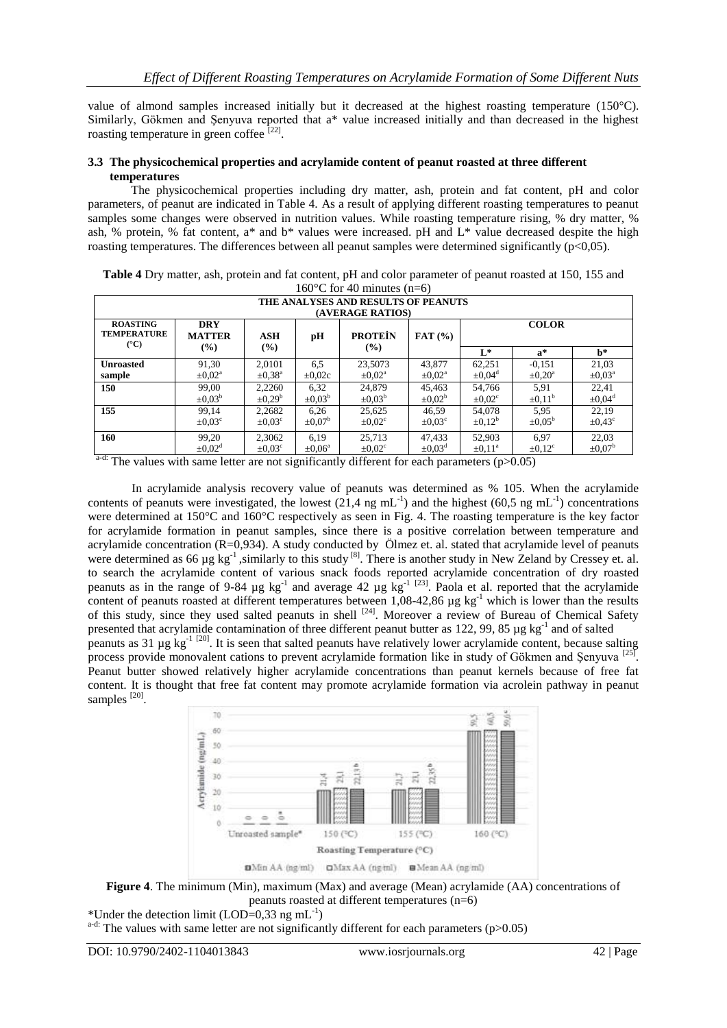value of almond samples increased initially but it decreased at the highest roasting temperature (150°C). Similarly, Gökmen and Şenyuva reported that a\* value increased initially and than decreased in the highest roasting temperature in green coffee [22].

## **3.3 The physicochemical properties and acrylamide content of peanut roasted at three different temperatures**

The physicochemical properties including dry matter, ash, protein and fat content, pH and color parameters, of peanut are indicated in Table 4. As a result of applying different roasting temperatures to peanut samples some changes were observed in nutrition values. While roasting temperature rising, % dry matter, % ash, % protein, % fat content,  $a^*$  and  $b^*$  values were increased. pH and  $L^*$  value decreased despite the high roasting temperatures. The differences between all peanut samples were determined significantly (p<0,05).

| 160 $\degree$ C for 40 minutes (n=6)                    |                             |                         |                    |                       |                       |                         |                    |                         |
|---------------------------------------------------------|-----------------------------|-------------------------|--------------------|-----------------------|-----------------------|-------------------------|--------------------|-------------------------|
| THE ANALYSES AND RESULTS OF PEANUTS<br>(AVERAGE RATIOS) |                             |                         |                    |                       |                       |                         |                    |                         |
| <b>ROASTING</b><br><b>TEMPERATURE</b><br>$(^{\circ}C)$  | <b>DRY</b><br><b>MATTER</b> | ASH                     | pH                 | <b>PROTEIN</b>        | $\textbf{FAT}$ (%)    | <b>COLOR</b>            |                    |                         |
|                                                         | $($ %)                      | $($ %)                  |                    | (%)                   |                       | $L^*$                   | $a^*$              | h*                      |
| <b>Unroasted</b>                                        | 91,30                       | 2.0101                  | 6,5                | 23,5073               | 43.877                | 62,251                  | $-0.151$           | 21,03                   |
| sample                                                  | $\pm 0.02^{\text{a}}$       | $\pm 0.38$ <sup>a</sup> | $\pm 0.02c$        | $\pm 0.02^{\text{a}}$ | $\pm 0.02^{\text{a}}$ | $\pm 0.04^{\circ}$      | $\pm 0.20^{\circ}$ | $\pm 0.03^{\text{a}}$   |
| 150                                                     | 99.00                       | 2,2260                  | 6,32               | 24.879                | 45,463                | 54.766                  | 5,91               | 22.41                   |
|                                                         | $\pm 0.03^{\rm b}$          | $\pm 0.29^{\circ}$      | $\pm 0.03^{\circ}$ | $\pm 0.03^{\rm b}$    | $\pm 0.02^{\circ}$    | $\pm 0.02^{\circ}$      | $\pm 0.11^{\circ}$ | $\pm 0.04$ <sup>d</sup> |
| 155                                                     | 99.14                       | 2,2682                  | 6,26               | 25,625                | 46,59                 | 54,078                  | 5,95               | 22.19                   |
|                                                         | $\pm 0.03^{\circ}$          | $\pm 0.03^{\circ}$      | $\pm 0.07^{\rm b}$ | $\pm 0.02^{\circ}$    | $\pm 0.03^{\circ}$    | $\pm 0.12^{\circ}$      | $\pm 0.05^{\circ}$ | $\pm 0.43^{\circ}$      |
| 160                                                     | 99,20                       | 2,3062                  | 6.19               | 25,713                | 47.433                | 52,903                  | 6.97               | 22,03                   |
|                                                         | $\pm 0.02^d$                | $\pm 0.03^{\circ}$      | $\pm 0.06^{\circ}$ | $\pm 0.02^{\circ}$    | $\pm 0.03^{\text{d}}$ | $\pm 0.11$ <sup>a</sup> | $\pm 0.12^{\circ}$ | $\pm 0.07^{\rm b}$      |

**Table 4** Dry matter, ash, protein and fat content, pH and color parameter of peanut roasted at 150, 155 and

<sup>a-d:</sup> The values with same letter are not significantly different for each parameters ( $p > 0.05$ )

In acrylamide analysis recovery value of peanuts was determined as % 105. When the acrylamide contents of peanuts were investigated, the lowest (21,4 ng mL<sup>-1</sup>) and the highest (60,5 ng mL<sup>-1</sup>) concentrations were determined at 150°C and 160°C respectively as seen in Fig. 4. The roasting temperature is the key factor for acrylamide formation in peanut samples, since there is a positive correlation between temperature and acrylamide concentration (R=0,934). A study conducted by Ölmez et. al. stated that acrylamide level of peanuts were determined as 66 µg kg<sup>-1</sup>, similarly to this study <sup>[8]</sup>. There is another study in New Zeland by Cressey et. al. to search the acrylamide content of various snack foods reported acrylamide concentration of dry roasted peanuts as in the range of 9-84  $\mu$ g kg<sup>-1</sup> and average 42  $\mu$ g kg<sup>-1 [23]</sup>. Paola et al. reported that the acrylamide content of peanuts roasted at different temperatures between  $1,08-42,86$  µg kg<sup>-1</sup> which is lower than the results of this study, since they used salted peanuts in shell <sup>[24]</sup>. Moreover a review of Bureau of Chemical Safety presented that acrylamide contamination of three different peanut butter as 122, 99, 85  $\mu$ g kg<sup>-1</sup> and of salted peanuts as 31  $\mu$ g kg<sup>-1 [20]</sup>. It is seen that salted peanuts have relatively lower acrylamide content, because salting process provide monovalent cations to prevent acrylamide formation like in study of Gökmen and Şenyuva<sup>[25]</sup>. Peanut butter showed relatively higher acrylamide concentrations than peanut kernels because of free fat content. It is thought that free fat content may promote acrylamide formation via acrolein pathway in peanut samples<sup>[20]</sup>.





\*Under the detection limit (LOD=0,33 ng mL<sup>-1</sup>)

 $a-d$ : The values with same letter are not significantly different for each parameters (p>0.05)